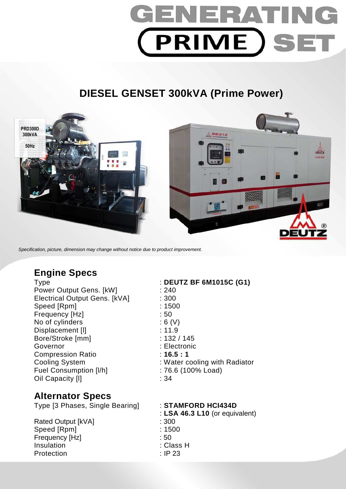# GENERATIN **PRIME SET**

# **DIESEL GENSET 300kVA (Prime Power)**



Specification, picture, dimension may change without notice due to product improvement.

### **Engine Specs**

Power Output Gens. [kW] : 240 Electrical Output Gens. [kVA] : 300 Speed [Rpm] : 1500 Frequency [Hz]  $\qquad \qquad$  : 50 No of cylinders : 6 (V) Displacement [I] 3.11.9 Bore/Stroke [mm] : 132 / 145 Governor : Electronic Compression Ratio : **16.5 : 1**  Fuel Consumption [I/h] : 76.6 (100% Load) Oil Capacity [I] 34

## **Alternator Specs**

Type [3 Phases, Single Bearing] : **STAMFORD HCI434D** 

Rated Output [kVA] : 300 Speed [Rpm] : 1500 Frequency [Hz] : 50 Insulation : Class H Protection : IP 23

Type : **DEUTZ BF 6M1015C (G1)**  Cooling System : Water cooling with Radiator

: **LSA 46.3 L10** (or equivalent)